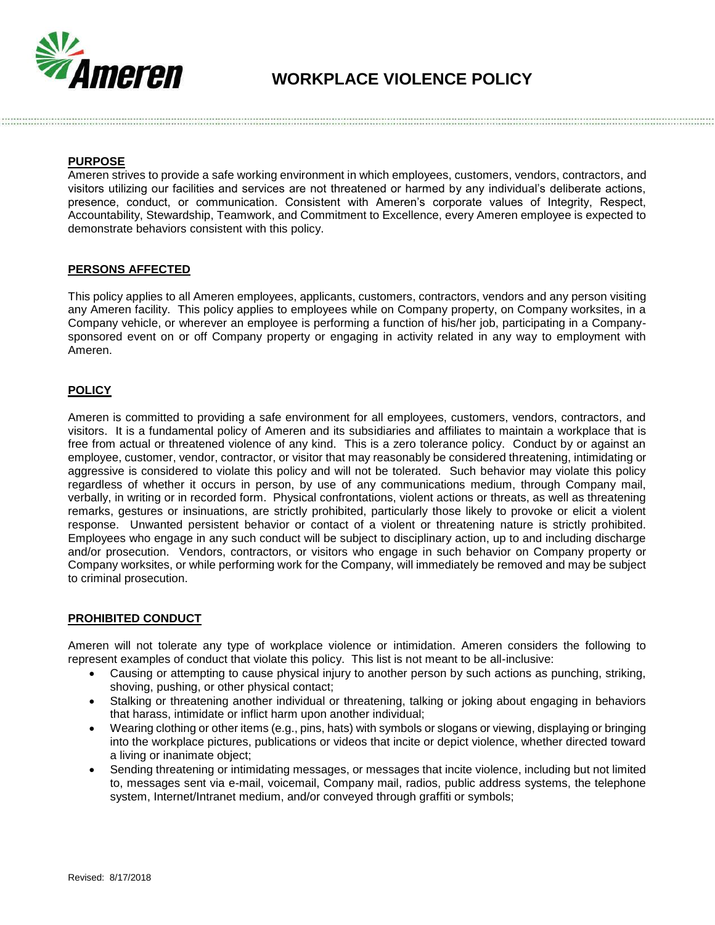

# **WORKPLACE VIOLENCE POLICY**

# **PURPOSE**

Ameren strives to provide a safe working environment in which employees, customers, vendors, contractors, and visitors utilizing our facilities and services are not threatened or harmed by any individual's deliberate actions, presence, conduct, or communication. Consistent with Ameren's corporate values of Integrity, Respect, Accountability, Stewardship, Teamwork, and Commitment to Excellence, every Ameren employee is expected to demonstrate behaviors consistent with this policy.

#### **PERSONS AFFECTED**

This policy applies to all Ameren employees, applicants, customers, contractors, vendors and any person visiting any Ameren facility. This policy applies to employees while on Company property, on Company worksites, in a Company vehicle, or wherever an employee is performing a function of his/her job, participating in a Companysponsored event on or off Company property or engaging in activity related in any way to employment with Ameren.

# **POLICY**

Ameren is committed to providing a safe environment for all employees, customers, vendors, contractors, and visitors. It is a fundamental policy of Ameren and its subsidiaries and affiliates to maintain a workplace that is free from actual or threatened violence of any kind. This is a zero tolerance policy. Conduct by or against an employee, customer, vendor, contractor, or visitor that may reasonably be considered threatening, intimidating or aggressive is considered to violate this policy and will not be tolerated. Such behavior may violate this policy regardless of whether it occurs in person, by use of any communications medium, through Company mail, verbally, in writing or in recorded form. Physical confrontations, violent actions or threats, as well as threatening remarks, gestures or insinuations, are strictly prohibited, particularly those likely to provoke or elicit a violent response. Unwanted persistent behavior or contact of a violent or threatening nature is strictly prohibited. Employees who engage in any such conduct will be subject to disciplinary action, up to and including discharge and/or prosecution. Vendors, contractors, or visitors who engage in such behavior on Company property or Company worksites, or while performing work for the Company, will immediately be removed and may be subject to criminal prosecution.

## **PROHIBITED CONDUCT**

Ameren will not tolerate any type of workplace violence or intimidation. Ameren considers the following to represent examples of conduct that violate this policy. This list is not meant to be all-inclusive:

- Causing or attempting to cause physical injury to another person by such actions as punching, striking, shoving, pushing, or other physical contact;
- Stalking or threatening another individual or threatening, talking or joking about engaging in behaviors that harass, intimidate or inflict harm upon another individual;
- Wearing clothing or other items (e.g., pins, hats) with symbols or slogans or viewing, displaying or bringing into the workplace pictures, publications or videos that incite or depict violence, whether directed toward a living or inanimate object;
- Sending threatening or intimidating messages, or messages that incite violence, including but not limited to, messages sent via e-mail, voicemail, Company mail, radios, public address systems, the telephone system, Internet/Intranet medium, and/or conveyed through graffiti or symbols;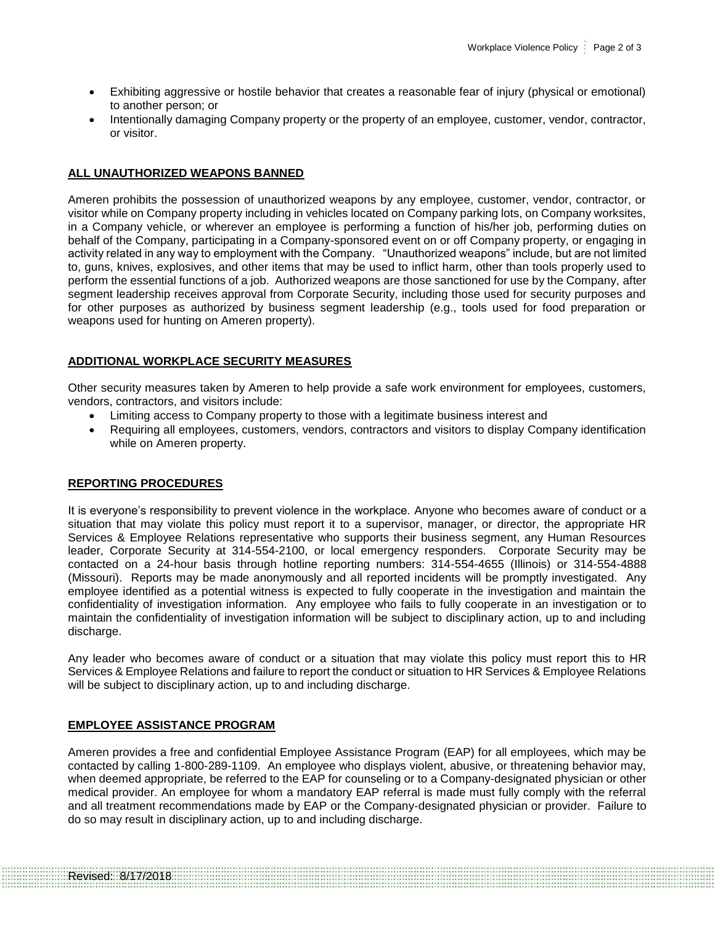- Exhibiting aggressive or hostile behavior that creates a reasonable fear of injury (physical or emotional) to another person; or
- Intentionally damaging Company property or the property of an employee, customer, vendor, contractor, or visitor.

## **ALL UNAUTHORIZED WEAPONS BANNED**

Ameren prohibits the possession of unauthorized weapons by any employee, customer, vendor, contractor, or visitor while on Company property including in vehicles located on Company parking lots, on Company worksites, in a Company vehicle, or wherever an employee is performing a function of his/her job, performing duties on behalf of the Company, participating in a Company-sponsored event on or off Company property, or engaging in activity related in any way to employment with the Company. "Unauthorized weapons" include, but are not limited to, guns, knives, explosives, and other items that may be used to inflict harm, other than tools properly used to perform the essential functions of a job. Authorized weapons are those sanctioned for use by the Company, after segment leadership receives approval from Corporate Security, including those used for security purposes and for other purposes as authorized by business segment leadership (e.g., tools used for food preparation or weapons used for hunting on Ameren property).

# **ADDITIONAL WORKPLACE SECURITY MEASURES**

Other security measures taken by Ameren to help provide a safe work environment for employees, customers, vendors, contractors, and visitors include:

- Limiting access to Company property to those with a legitimate business interest and
- Requiring all employees, customers, vendors, contractors and visitors to display Company identification while on Ameren property.

# **REPORTING PROCEDURES**

It is everyone's responsibility to prevent violence in the workplace. Anyone who becomes aware of conduct or a situation that may violate this policy must report it to a supervisor, manager, or director, the appropriate HR Services & Employee Relations representative who supports their business segment, any Human Resources leader, Corporate Security at 314-554-2100, or local emergency responders. Corporate Security may be contacted on a 24-hour basis through hotline reporting numbers: 314-554-4655 (Illinois) or 314-554-4888 (Missouri). Reports may be made anonymously and all reported incidents will be promptly investigated. Any employee identified as a potential witness is expected to fully cooperate in the investigation and maintain the confidentiality of investigation information. Any employee who fails to fully cooperate in an investigation or to maintain the confidentiality of investigation information will be subject to disciplinary action, up to and including discharge.

Any leader who becomes aware of conduct or a situation that may violate this policy must report this to HR Services & Employee Relations and failure to report the conduct or situation to HR Services & Employee Relations will be subject to disciplinary action, up to and including discharge.

## **EMPLOYEE ASSISTANCE PROGRAM**

Ameren provides a free and confidential Employee Assistance Program (EAP) for all employees, which may be contacted by calling 1-800-289-1109. An employee who displays violent, abusive, or threatening behavior may, when deemed appropriate, be referred to the EAP for counseling or to a Company-designated physician or other medical provider. An employee for whom a mandatory EAP referral is made must fully comply with the referral and all treatment recommendations made by EAP or the Company-designated physician or provider. Failure to do so may result in disciplinary action, up to and including discharge.